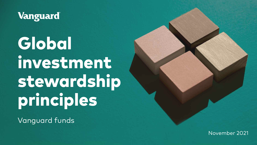

Global investment stewardship principles

Vanguard funds

November 2021

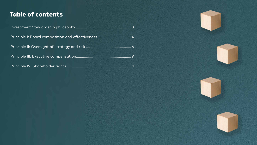Investment Stewardship philosophy ........................................................ 3 Principle I: Board composition and effectiveness................................. 4 Principle II: Oversight of strategy and risk .............................................. 6 Principle III: Executive compensation........................................................ 9 Principle IV: Shareholder rights................................................................. 11



# Table of contents

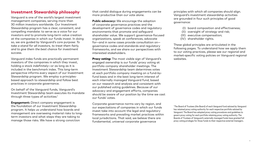# **Investment Stewardship philosophy**

Vanguard is one of the world's largest investment management companies, serving more than 30 million investors worldwide. Our Investment Stewardship program has a clear, consistent, and compelling mandate: to serve as a voice for our investors and to promote long-term value creation at the companies in which our funds invest. In doing so, we are guided by Vanguard's core purpose: *To take a stand for all investors, to treat them fairly, and to give them the best chance for investment success.*

Vanguard index funds are practically permanent investors of the companies in which they invest, holding a stock indefinitely—or as long as it is included in the benchmark index. This long-term perspective informs every aspect of our Investment Stewardship program. We employ a principlesbased approach to stewardship and follow best practices in corporate governance.

On behalf of the Vanguard funds, Vanguard's Investment Stewardship team executes its mandate through three types of activities:1

**Engagement:** Direct company engagement is the foundation of our Investment Stewardship program. It helps us understand how boards and management are overseeing material risks to longterm investors and what steps they are taking to manage those risks. We have a strong conviction

**Proxy voting:** The most visible sign of Vanguard's engaged ownership is our funds' proxy voting at portfolio company shareholder meetings. The Investment Stewardship team determines votes at each portfolio company meeting on a fund-byfund basis and in the best long-term interest of each internally managed Vanguard fund, based on our research and analysis and consistent with our published voting guidelines. Because of our advocacy and engagement efforts, companies should be aware of our position by the time we cast our funds' votes.

that candid dialogue during engagements can be more productive than our vote alone.

**Public advocacy:** We encourage the adoption of corporate governance practices and the development of governance codes and regulatory environments that promote and safeguard shareholder value. We support governance-focused organizations, speak at conferences, advocate for—and in some cases provide consultation on governance codes and standards and regulatory frameworks, and we share our perspectives with interested stakeholders.

> <sup>1</sup> The Board of Trustees (the Board) of each Vanguard fund advised by Vanguard has retained proxy voting authority for each respective portfolio advised by Vanguard. The Board has adopted proxy voting procedures and guidelines to govern proxy voting for each portfolio retaining proxy voting authority. The Boards of Trustees of Vanguard's externally managed funds have granted full proxy voting privileges for those funds to their respective external managers.





Corporate governance norms vary by region, and our expectations of companies in which our funds invest take into account the legal and regulatory frameworks and prevailing market practices within local jurisdictions. That said, we believe there are fundamental, universal corporate governance

principles with which all companies should align. Vanguard's investment stewardship activities are grounded in four such principles of good governance:

- (I) board composition and effectiveness;
- (II) oversight of strategy and risk;
- (III) executive compensation;
- (IV) shareholder rights.

These global principles are articulated in the following pages. To understand how we apply them to our voting practices, please see our regional and market-specific voting policies on Vanguard regional websites.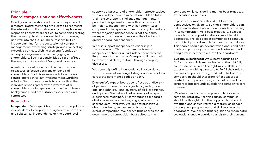# **Principle I: Board composition and effectiveness**

Good governance starts with a company's board of directors. Board members are elected to represent the interests of all shareholders, and they have key responsibilities that are critical to companies setting themselves up to stay relevant today, tomorrow, and well into the future. These responsibilities include planning for the succession of company management, overseeing strategy and risk, setting executive pay, establishing a strong foundation of corporate governance, and engaging with shareholders. Such responsibilities directly affect the long-term interests of Vanguard investors.

A well-composed board is in the best position to execute effective decisions on behalf of shareholders. For this reason, we take a boardcentric approach to our investment stewardship efforts. Our primary focus is to ensure that the individuals who represent the interests of all shareholders are independent, come from diverse backgrounds, and are suitably experienced and committed.

# **Expectations**

**Independent:** We expect boards to be appropriately independent of company management in both form and substance. Independence at the board level

supports a structure of shareholder representatives who are independent in mindset and able to fulfill their role to properly challenge management. In practice, this generally means that boards should be majority independent, with key committees composed of independent directors only. In markets where majority independence is not the norm, we expect companies to move in the direction of greater board independence.

We also support independent leadership in the boardroom. That may take the form of an independent chair or a lead independent director. Regardless of title, the role's responsibilities should be robust and clearly defined through company disclosure.

We generally define independence in accordance with the relevant exchange listing standards or local corporate governance codes or both.

**Diverse:** We expect boards to reflect both diversity of personal characteristics (such as gender, race, age, and ethnicity) and diversity of skill, experience, and opinion. We believe that a variety of unique experiences meaningfully contributes to a board's ability to serve as effective, engaged stewards of shareholders' interests. We are not prescriptive about age limits, tenure limits, board size, or overall composition. We believe that boards should determine the composition best suited to their

company while considering market best practices, expectations, and risks.

In practice, companies should publish their perspectives on diversity so that shareholders can better understand how a board considers diversity in its composition. As a best practice, we expect to see board composition disclosure, at least in aggregate. We also expect companies to conduct a sufficiently broad search for director candidates. This search should go beyond traditional candidate pools and purposely consider candidates who will bring diverse perspectives into the boardroom.

**Suitably experienced:** We expect boards to be fit for purpose. This means having a thoughtfully composed board with the right mix of skills and experience, enabling directors to fulfill their role to oversee company strategy and risk. The board's composition should therefore reflect expertise related to company strategy and risk, as well as in corporate backgrounds outside the company's core business.

We also expect board composition to evolve with company strategy. For this reason, companies should be thoughtful in their approach to board evolution and should refresh directors, as needed, to bring new perspectives and skill sets into the boardroom. We believe that regular and meaningful evaluations enable boards to analyze their current











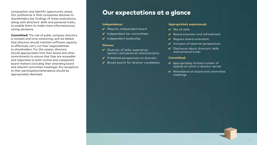### **Independence:**

- 4 Majority independent board
- $\mathcal V$  Independent key committees
- $\boldsymbol{\nu}$  Independent leadership

#### **Diverse:**

- $\checkmark$  Diversity of skills, experience, opinion, and personal characteristics
- $\vee$  Published perspectives on diversity
- 

- 
- $\mathcal V$  Broad search for director candidates

- $\boldsymbol{V}$  Mix of skills
- $\sqrt{\phantom{a}}$  Board evolution and refreshment
- $\vee$  Regular board evaluation
- $\vee$  Inclusion of external perspectives
- Disclosure about directors' skills and personal traits

# **Appropriately experienced:**

- $\vee$  Appropriately limited number of boards on which a director serves
- $\boldsymbol{\nu}$  Attendance at board and committee meetings

## **Committed:**

composition and identify opportunity areas. Our preference is that companies disclose to shareholders key findings of these evaluations, along with directors' skills and personal traits, to enable them to make more informed proxy voting decisions.

**Committed:** The role of public company directors is complex and time-consuming, and we believe that directors should maintain sufficient capacity to effectively carry out their responsibilities to shareholders. For this reason, directors should appropriately limit their board and other commitments to ensure that they are accessible and responsive to both routine and unexpected board matters (including their attending board and relevant committee meetings). Any exceptions to their participation/attendance should be appropriately disclosed.

# Our expectations at a glance

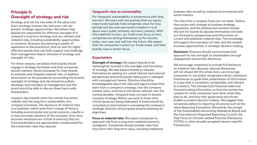# **Principle II: Oversight of strategy and risk**

Strategy and risk are two sides of the same coin: Every strategy involves risk, and every risk can present strategic opportunities. We believe that boards are responsible for effective oversight of a company's long-term strategy and any relevant and material risks, including sustainability opportunities or concerns. Directors should bring a wealth of experience to the boardroom, and we look for highly effective boards that can both support and challenge their management teams' direction of strategy and oversight of risks.

For these reasons, we believe that boards should engage in strategy formation and that companies should maintain robust processes for their boards to evaluate and mitigate material risks. In addition, information on the procedures surrounding the board's oversight of strategy and risk should be publicly disclosed, and members of management and the board should be able to discuss these topics with shareholders.

Investors also benefit when the market has better visibility into the long-term sustainability of a company's business. The disclosure of material risks to a business—which arise from a range of factors, including environmental and social concerns—results in a more accurate valuation of the company. Over time, accurate valuations are critical to ensuring that our fund shareholders are appropriately compensated for the investment risks they assume.

# **Vanguard's view on sustainability**

For Vanguard, sustainability is synonymous with longtermism. We start with the premise that our equity index funds typically hold companies' stock for long periods and are near-permanent investors in just about every public company and every industry. With this indefinite horizon, our funds must focus on how companies are setting themselves up for success today, next year, and well into the future. We expect that the companies in which our funds invest, and their boards, have a similar focus.

# **Expectations**

**Oversight of strategy:** We expect boards to be meaningfully involved in the oversight and formation of strategy. We also expect boards to educate themselves by seeking out varied internal and external perspectives and continuously taking part in dialogue with management teams. Directors should be knowledgeable about the risks and opportunities that stem from a company's strategy, how the company creates value, and how it will remain relevant over the coming decades. Vanguard does not seek to dictate company strategy. Rather, we want to know that critical issues are being addressed. A board should be consulted on and involved in overseeing the company's strategic direction and progress toward attaining its

objectives.

**Focus on material risks:** We expect companies to approach risk from a long-term material economic standpoint. Companies should consider risks that may harm their long-term value, including traditional

business risks as well as material environmental and social matters.

The risks that a company faces are not static. Rather, they evolve with changes to business strategy, regulations, and the political and societal climate. We look for boards to educate themselves and seek out third-party perspectives and information on current and potential material risks. This knowledge will support the evaluation of risks, and the related business opportunities, in strategic decision-making. **Disclosure:** Directors should communicate their

approach to risk oversight to shareholders through engagement and written disclosure.

We encourage companies to provide full disclosure on material risks. Because required disclosures will not always tell the whole story, we encourage companies to use widely recognized industry disclosure frameworks to guide their presentation of information in a way that is consistent, comparable, and relevant to investors. This includes both historical data and forward-looking information so that the market has context for what companies have done, what they plan to do, and how their governance structures enable successful decision-making. We suggest that companies adhere to reporting structures such as the Value Reporting Foundation (formed by the merger of the Sustainability Accounting Standards Board and the International Integrated Reporting Council), the Task Force on Climate-related Financial Disclosures (TCFD), or other broadly accepted industry-specific frameworks.

6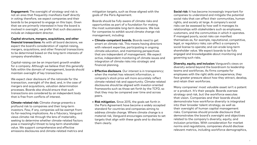**Engagement:** The oversight of strategy and risk is not an area that frequently manifests itself directly in voting; therefore, we expect companies and their boards to be prepared to engage on this topic. Given that we are primarily interested in how the board is involved in oversight, we prefer that such discussions include an independent director.

**Capital structure, mergers, acquisitions, and other financial transactions:** As with all board decisions, we expect the board's consideration of capital-raising, mergers, acquisitions, and other financial transactions to be determined based on the long-term interests of company shareholders.

Capital-raising can be an important growth enabler for a company. Although we believe that this generally falls within the domain of management, boards should maintain oversight of key transactions.

We expect clear disclosure of the rationale for the transaction, oversight of the deal, and, in the case of mergers and acquisitions, valuation determination processes. Boards also should ensure that such transactions are considered by an independent body that is free from conflicts of interest.

**Climate-related risk:** Climate change presents a profound risk to companies and their long-term investors. Few, if any, companies will be exempt from its far-reaching implications. As a fiduciary, Vanguard views climate risk through the lens of materiality, seeking to determine whether climate-related factors pose a meaningful threat to long-term shareholder value. We support comprehensive and effective emissions disclosures and climate-related metrics and mitigation targets, such as those aligned with the goals of the Paris Agreement.

Boards should be fully aware of climate risks and opportunities as part of a foundation for making the most sustainable long-term decisions. We look for companies to exhibit sound climate change risk management, including:

**• Climate-competent boards.** Boards need to get smart on climate risk. This means having directors with relevant expertise, participating in ongoing climate education, and maintaining perspectives that are independent of management. We expect active, independent monitoring of climate issues and integration of climate risks into strategic and

**• Effective disclosure**. Our interest is in transparency; when the market has relevant information, a company's stock price will more accurately reflect climate-related risk and opportunity. Climate-related disclosures should be aligned with investor-oriented frameworks such as those set forth by the TCFD, so that they may be compared over time and across

- financial planning.
- peers.
- them clearly.

**• Risk mitigation.** Since 2015, the goals set forth in the Paris Agreement have become a widely accepted standard for countries and companies aiming to address climate change. Where climate change is a material risk, Vanguard encourages companies to set targets that align with these goals and to disclose

**Social risk:** It has become increasingly important for companies to understand and mitigate the potential social risks that can affect their communities, human rights, and society at large. A company's social risks can be assessed by how well it manages its relationships with stakeholders such as employees, customers, and the communities in which it operates. If managed poorly, social risks can manifest themselves as, for example, reputational, competitive, legal, or regulatory risks; can affect a company's social license to operate; and can erode long-term shareholder value. We expect boards to be fully engaged and knowledgeable about monitoring and governing such risks.

**Diversity, equity, and inclusion:** Vanguard's views on diversity extend beyond the boardroom to leadership teams and workforces. As firms compete for employees with the right skills and experience, they face greater pressure about how they attract, develop, and retain their workforces.

Many companies' most valuable asset isn't a patent or a product. It's their people. Boards oversee strategy and risk, but the workforce executes that vision. Companies and their boards should demonstrate how workforce diversity is integrated into their broader talent strategy, as well as their oversight of human capital management risks. Companies should provide disclosure that demonstrates the board's oversight and objectives related to the company's diversity, equity, and inclusion priorities. With consideration for market norms and regulations, companies should disclose relevant metrics, including workforce demographics,

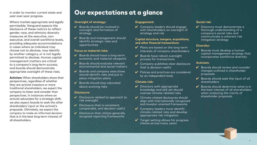### **Oversight of strategy:**

- $\vee$  Boards should be involved in oversight and formation of strategy
- Boards and management should identify strategic risks and opportunities

#### **Focus on material risks:**

- $\overline{\mathsf{V}}$  Boards should have a long-term economic and material viewpoint
- Boards should evaluate relevant environmental and social matters
- $\overline{\mathsf{V}}$  Boards and company executives should identify risks and put in place mitigation plans
- Boards should stay educated about evolving risks

- $\vee$  Disclosure related to approach to risk oversight
- $\boldsymbol{\nu}$  Disclosure that is consistent, comparable, and decision-useful
- $\checkmark$  Disclosure that utilizes generally accepted reporting frameworks

V Company leaders should engage with shareholders on oversight of strategy and risk

#### **Disclosure:**

- $\blacktriangleright$  Plans are based on the long-term interests of company shareholders
- $\vee$  Boards have robust oversight process for transactions
- ✔ Company publishes clear disclosure that is decision-useful
- $\blacktriangleright$  Policies and practices are considered by an independent body

# **Engagement:**

- $\vee$  Directors with appropriate knowledge and skill set should oversee climate-related risks
- $\vee$  Climate-related disclosures should align with internationally recognized and investor-oriented frameworks
- $\vee$  Company leaders must identify climate-related risks and develop appropriate risk mitigation
- **V** Target setting allows for progress checks across many years

# **Capital structure, mergers, acquisitions, and other financial transactions:**

 $\vee$  Directors must demonstrate a thorough understanding of a company's social risks and communicate a coherent risk mitigation strategy

 $\vee$  Boards must develop a human capital management strategy that incorporates workforce diversity

# **Climate risk:**

# **Social risk:**

# **Diversity:**

# **Activism:**

- $\blacktriangleright$  Boards should review and consider changes outlined in shareholder proposals
- $\mathcal V$  Boards should seek the input of all shareholders
- $\blacktriangleright$  Boards should determine what is in the best interest of all shareholders when analyzing the merits of shareholder proposals



in order to monitor current state and year-over-year progress.

Where market-appropriate and legally permissible, Vanguard expects the disclosure of these metrics to reflect gender, race, and ethnicity diversity measures at the executive, nonexecutive, and overall workforce levels, providing adequate accommodations in cases where an individual may choose not to disclose, may identify by another category, or is not legally permitted to disclose. Human capital management matters are critical to a company's long-term success, and boards should demonstrate appropriate oversight of these risks.

**Activism:** When shareholders share their perspectives, regardless of whether they are activist investors or more traditional shareholders, we expect the company to listen and consider their perspectives. In instances where an activist advocates for a strategic shift, we also expect boards to seek the other shareholders' input on the activist's proposals. Ultimately, we expect the company to make an informed decision that is in the best long-term interest of all shareholders.

# Our expectations at a glance

8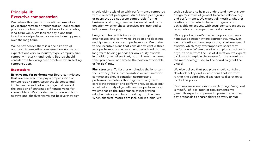# **Principle III: Executive compensation**

We believe that performance-linked executive pay (compensation or remuneration) policies and practices are fundamental drivers of sustainable, long-term value. We look for pay plans that incentivize outperformance versus industry peers over the long term.

We do not believe there is a one-size-fits-all approach to executive compensation; norms and expectations vary by industry type, company size, company maturity, and region. Boards should consider the following best practices when setting compensation.

# **Expectations**

**Relative pay for performance:** Board committees that oversee executive pay (compensation or remuneration committees) should create and implement plans that encourage and reward the creation of sustainable financial value for shareholders. We consider performance in both relative and absolute terms but believe that pay

should ultimately align with performance compared with a relevant peer group. An outsized peer group or peers that do not seem comparable from a business or strategy perspective would lead us to question whether these practices are intended to inflate executive pay.

**Long-term focus:** It is important that a plan emphasizes long-term value creation and does not unduly reward short-term performance. We prefer to see incentive plans that consider at least a threeyear performance measurement period and that set long-term holding periods for any equity awards. In addition, we believe that, at a minimum, a plan's fixed pay should not exceed the portion of variable or "at risk" pay.

**Plan structure:** To further emphasize the long-term focus of pay plans, compensation or remuneration committees should consider incorporating performance metrics that align with long-term corporate strategy and performance. Because pay should ultimately align with relative performance, we emphasize the importance of integrating relative metrics and benchmarking into the plan. When absolute metrics are included in a plan, we

seek disclosure to help us understand how this pay design maintains alignment between relative pay and performance. We expect all metrics, whether relative or absolute, to be set at rigorous but achievable objectives, with total pay targets set at reasonable and competitive market levels.

We support a board's choice to apply positive or negative discretion where appropriate. However, we are cautious about supporting one-time special awards, which may overemphasize short-term performance. Where deviations in plan structure or payouts arise from the use of discretion, we expect disclosure to explain the reason for the award and the methodology used by the board to grant the award.

We also believe that pay plans should contain a clawback policy and, in situations that warrant it, that the board should exercise its discretion to invoke this policy.

Responsiveness and disclosure: Although Vanguard is mindful of local market requirements, we generally expect companies to present executive pay proposals to shareholders at every annual



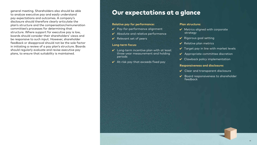# Our expectations at a glance

# **Relative pay for performance:**

- $\vee$  Pay-for-performance alignment
- $\boldsymbol{\nu}$  Absolute and relative performance
- $\vee$  Relevant set of peers
- 
- 
- $\vee$  Long-term incentive plan with at least three-year measurement and holding periods

# **Long-term focus:**

 $\checkmark$  At-risk pay that exceeds fixed pay

### **Plan structure:**

- $\vee$  Metrics aligned with corporate strategy
- $\vee$  Rigorous goal setting
- $\vee$  Relative plan metrics
- $\checkmark$  Target pay in line with market levels
- $\vee$  Appropriate committee discretion
- $\vee$  Clawback policy implementation

- $\vee$  Clear and transparent disclosure
- $\mathcal V$  Board responsiveness to shareholder feedback

## **Responsiveness and disclosure:**

general meeting. Shareholders also should be able to analyze executive pay and easily understand pay expectations and outcomes. A company's disclosure should therefore clearly articulate the plan's structure and the compensation/remuneration committee's processes for determining that structure. Where support for executive pay is low, boards should consider their shareholders' views and be responsive to such input. However, shareholder feedback or disapproval should not be the sole factor in initiating a review of a pay plan's structure. Boards should regularly evaluate and revise executive pay plans, to ensure that suitability is maintained.

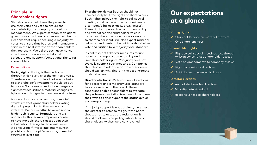# **Principle IV: Shareholder rights**

Shareholders should have the power to use their voice and vote to ensure the accountability of a company's board and management. We expect companies to adopt governance structures, such as annual director elections that require securing a majority of votes, to ensure that boards and management serve in the best interest of the shareholders they represent. We believe such governance structures can serve as a safety net to safeguard and support foundational rights for shareholders.

# **Expectations**

**Voting rights**: Voting is the mechanism through which every shareholder has a voice. Therefore, certain matters that are material to a shareholder's investment should be put to a vote. Some examples include mergers or significant acquisitions, material changes to bylaws, and changes to governance structures.

Vanguard supports "one-share, one-vote" structures that grant shareholders voting rights in proportion to their economic interests. We are mindful, however, not to hinder public capital formation, and we appreciate that some companies choose to have multiple share classes upon their initial public offering. In those instances, we encourage firms to implement sunset provisions that adopt "one-share, one-vote" structures over time.

- $\checkmark$  Right to call special meetings, act through written consent, use shareholder access
- V Vote on amendments to company bylaws
- $\checkmark$  Right to nominate directors
- 4 Antitakeover measure disclosure

- 4 Annual elections for directors
- **V** Majority vote standard
- $\vee$  Responsiveness to shareholders



**Shareholder rights:** Boards should not unnecessarily limit the rights of shareholders. Such rights include the right to call special meetings and to place director nominees on a company's ballot (that is, proxy access). These rights improve director accountability and strengthen the shareholder voice in instances where the board appears resistant to shareholder input. We also expect material bylaw amendments to be put to a shareholder vote and ratified by a majority vote standard.

In contrast, antitakeover measures reduce board and company accountability and limit shareholder rights. Vanguard does not typically support such measures. Companies that choose to adopt an antitakeover device should explain why this is in the best interests of shareholders.

**Director elections:** We favor annual elections for directors and a majority vote standard to join or remain on the board. These conditions enable shareholders to evaluate the performance of directors annually and use their vote to either support the status quo or encourage change.

If majority support is not obtained, we expect the director to offer to resign. If the board chooses not to accept the resignation, it should disclose a compelling rationale why shareholders' wishes were contravened.

# Our expectations at a glance

# **Voting rights:**

- $\checkmark$  Shareholder vote on material matters
- $\vee$  One share, one vote

# **Shareholder rights:**

# **Director elections:**